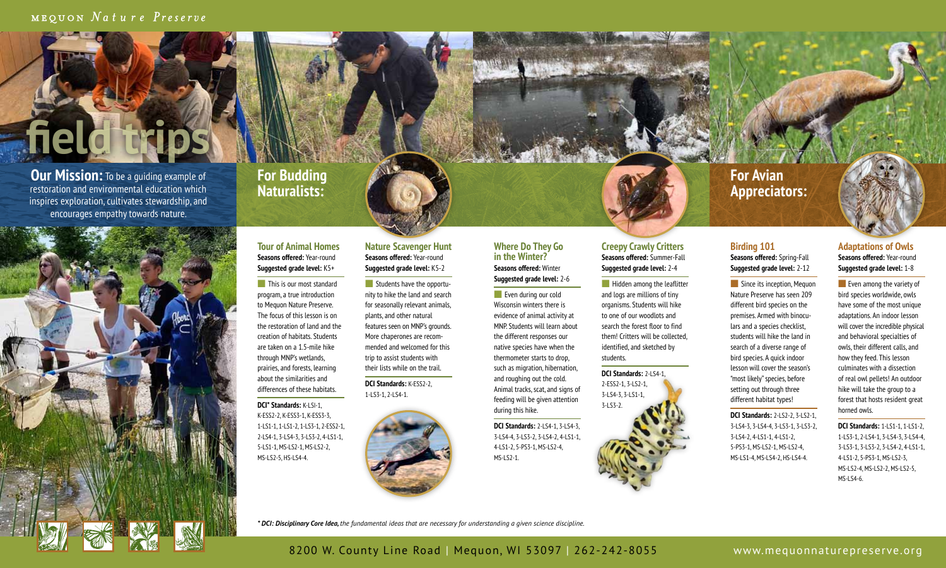## MEQUON Nature Preserve

**Our Mission:** To be a quiding example of restoration and environmental education which inspires exploration, cultivates stewardship, and encourages empathy towards nature.

**field trips**



## **For Budding Naturalists:**

#### **Tour of Animal Homes Seasons offered:** Year-round **Suggested grade level:** K5+

 $\blacksquare$  This is our most standard program, a true introduction to Mequon Nature Preserve. The focus of this lesson is on the restoration of land and the creation of habitats. Students are taken on a 1.5-mile hike through MNP's wetlands, prairies, and forests, learning about the similarities and differences of these habitats.

**DCI\* Standards:** K-LSI-1, K-ESS2-2, K-ESS3-1, K-ESS3-3, 1-LS1-1, 1-LS1-2, 1-LS3-1, 2-ESS2-1, 2-LS4-1, 3-LS4-3, 3-LS3-2, 4-LS1-1, 5-LS1-1, MS-LS2-1, MS-LS2-2, MS-LS2-5, HS-LS4-4.

#### **Nature Scavenger Hunt Seasons offered:** Year-round **Suggested grade level:** K5-2

 $\blacksquare$  Students have the opportunity to hike the land and search for seasonally relevant animals, plants, and other natural features seen on MNP's grounds. More chaperones are recommended and welcomed for this trip to assist students with their lists while on the trail.

**DCI Standards:** K-ESS2-2, 1-LS3-1, 2-LS4-1.



### **Where Do They Go in the Winter? Seasons offered:** Winter

**Suggested grade level:** 2-6  $\blacksquare$  Even during our cold Wisconsin winters there is evidence of animal activity at MNP. Students will learn about the different responses our native species have when the thermometer starts to drop, such as migration, hibernation, and roughing out the cold. Animal tracks, scat, and signs of feeding will be given attention during this hike.

**DCI Standards:** 2-LS4-1, 3-LS4-3, 3-LS4-4, 3-LS3-2, 3-LS4-2, 4-LS1-1, 4-LS1-2, 5-PS3-1, MS-LS2-4, MS-LS2-1.

#### **Creepy Crawly Critters Seasons offered:** Summer-Fall **Suggested grade level:** 2-4

 $\blacksquare$  Hidden among the leaflitter and logs are millions of tiny organisms. Students will hike to one of our woodlots and search the forest floor to find them! Critters will be collected, identified, and sketched by students.

**DCI Standards:** 2-LS4-1, 2-ESS2-1, 3-LS2-1, 3-LS4-3, 3-LS1-1, 3-LS3-2.

# **For Avian Appreciators:**

#### **Birding 101 Seasons offered:** Spring-Fall

**Suggested grade level:** 2-12

since its inception, Mequon Nature Preserve has seen 209 different bird species on the premises. Armed with binoculars and a species checklist, students will hike the land in search of a diverse range of bird species. A quick indoor lesson will cover the season's "most likely" species, before setting out through three different habitat types!

**DCI Standards:** 2-LS2-2, 3-LS2-1, 3-LS4-3, 3-LS4-4, 3-LS3-1, 3-LS3-2, 3-LS4-2, 4-LS1-1, 4-LS1-2, 5-PS3-1, MS-LS2-1, MS-LS2-4, MS-LS1-4, MS-LS4-2, HS-LS4-4.

culminates with a dissection of real owl pellets! An outdoor hike will take the group to a forest that hosts resident great horned owls. **DCI Standards:** 1-LS1-1, 1-LS1-2, 1-LS3-1, 2-LS4-1, 3-LS4-3, 3-LS4-4, 3-LS3-1, 3-LS3-2, 3-LS4-2, 4-LS1-1, 4-LS1-2, 5-PS3-1, MS-LS2-3,

MS-LS2-4, MS-LS2-2, MS-LS2-5,

MS-LS4-6.

**Adaptations of Owls Seasons offered:** Year-round **Suggested grade level:** 1-8  $\blacksquare$  Even among the variety of bird species worldwide, owls have some of the most unique adaptations. An indoor lesson will cover the incredible physical and behavioral specialties of owls, their different calls, and how they feed. This lesson

*\* DCI: Disciplinary Core Idea, the fundamental ideas that are necessary for understanding a given science discipline.*